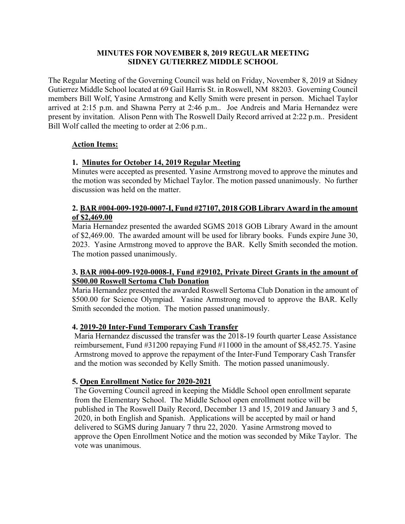## **MINUTES FOR NOVEMBER 8, 2019 REGULAR MEETING SIDNEY GUTIERREZ MIDDLE SCHOOL**

The Regular Meeting of the Governing Council was held on Friday, November 8, 2019 at Sidney Gutierrez Middle School located at 69 Gail Harris St. in Roswell, NM 88203. Governing Council members Bill Wolf, Yasine Armstrong and Kelly Smith were present in person. Michael Taylor arrived at 2:15 p.m. and Shawna Perry at 2:46 p.m.. Joe Andreis and Maria Hernandez were present by invitation. Alison Penn with The Roswell Daily Record arrived at 2:22 p.m.. President Bill Wolf called the meeting to order at 2:06 p.m..

# **Action Items:**

# **1. Minutes for October 14, 2019 Regular Meeting**

Minutes were accepted as presented. Yasine Armstrong moved to approve the minutes and the motion was seconded by Michael Taylor. The motion passed unanimously. No further discussion was held on the matter.

# **2. BAR #004-009-1920-0007-I, Fund #27107, 2018 GOB Library Award in the amount of \$2,469.00**

Maria Hernandez presented the awarded SGMS 2018 GOB Library Award in the amount of \$2,469.00. The awarded amount will be used for library books. Funds expire June 30, 2023. Yasine Armstrong moved to approve the BAR. Kelly Smith seconded the motion. The motion passed unanimously.

# **3. BAR #004-009-1920-0008-I, Fund #29102, Private Direct Grants in the amount of \$500.00 Roswell Sertoma Club Donation**

Maria Hernandez presented the awarded Roswell Sertoma Club Donation in the amount of \$500.00 for Science Olympiad. Yasine Armstrong moved to approve the BAR. Kelly Smith seconded the motion. The motion passed unanimously.

## **4. 2019-20 Inter-Fund Temporary Cash Transfer**

Maria Hernandez discussed the transfer was the 2018-19 fourth quarter Lease Assistance reimbursement, Fund #31200 repaying Fund #11000 in the amount of \$8,452.75. Yasine Armstrong moved to approve the repayment of the Inter-Fund Temporary Cash Transfer and the motion was seconded by Kelly Smith. The motion passed unanimously.

## **5. Open Enrollment Notice for 2020-2021**

The Governing Council agreed in keeping the Middle School open enrollment separate from the Elementary School. The Middle School open enrollment notice will be published in The Roswell Daily Record, December 13 and 15, 2019 and January 3 and 5, 2020, in both English and Spanish. Applications will be accepted by mail or hand delivered to SGMS during January 7 thru 22, 2020. Yasine Armstrong moved to approve the Open Enrollment Notice and the motion was seconded by Mike Taylor. The vote was unanimous.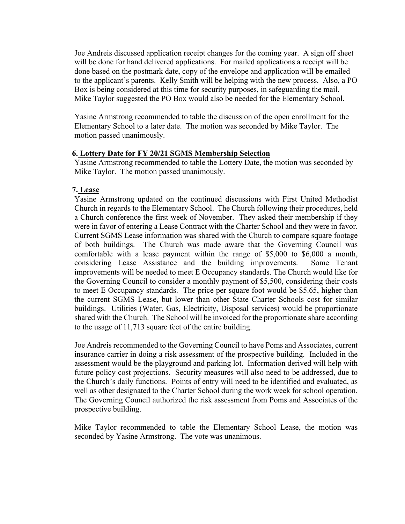Joe Andreis discussed application receipt changes for the coming year. A sign off sheet will be done for hand delivered applications. For mailed applications a receipt will be done based on the postmark date, copy of the envelope and application will be emailed to the applicant's parents. Kelly Smith will be helping with the new process. Also, a PO Box is being considered at this time for security purposes, in safeguarding the mail. Mike Taylor suggested the PO Box would also be needed for the Elementary School.

Yasine Armstrong recommended to table the discussion of the open enrollment for the Elementary School to a later date. The motion was seconded by Mike Taylor. The motion passed unanimously.

### **6. Lottery Date for FY 20/21 SGMS Membership Selection**

Yasine Armstrong recommended to table the Lottery Date, the motion was seconded by Mike Taylor. The motion passed unanimously.

### **7. Lease**

Yasine Armstrong updated on the continued discussions with First United Methodist Church in regards to the Elementary School. The Church following their procedures, held a Church conference the first week of November. They asked their membership if they were in favor of entering a Lease Contract with the Charter School and they were in favor. Current SGMS Lease information was shared with the Church to compare square footage of both buildings. The Church was made aware that the Governing Council was comfortable with a lease payment within the range of \$5,000 to \$6,000 a month, considering Lease Assistance and the building improvements. Some Tenant improvements will be needed to meet E Occupancy standards. The Church would like for the Governing Council to consider a monthly payment of \$5,500, considering their costs to meet E Occupancy standards. The price per square foot would be \$5.65, higher than the current SGMS Lease, but lower than other State Charter Schools cost for similar buildings. Utilities (Water, Gas, Electricity, Disposal services) would be proportionate shared with the Church. The School will be invoiced for the proportionate share according to the usage of 11,713 square feet of the entire building.

Joe Andreis recommended to the Governing Council to have Poms and Associates, current insurance carrier in doing a risk assessment of the prospective building. Included in the assessment would be the playground and parking lot. Information derived will help with future policy cost projections. Security measures will also need to be addressed, due to the Church's daily functions. Points of entry will need to be identified and evaluated, as well as other designated to the Charter School during the work week for school operation. The Governing Council authorized the risk assessment from Poms and Associates of the prospective building.

Mike Taylor recommended to table the Elementary School Lease, the motion was seconded by Yasine Armstrong. The vote was unanimous.